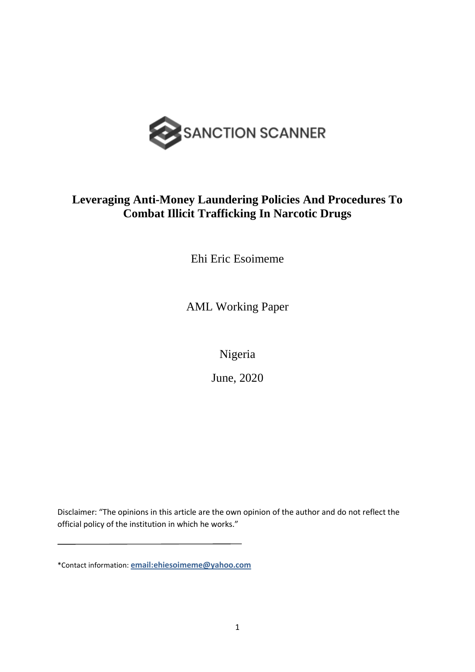

## **Leveraging Anti-Money Laundering Policies And Procedures To Combat Illicit Trafficking In Narcotic Drugs**

Ehi Eric Esoimeme

AML Working Paper

Nigeria

June, 2020

Disclaimer: "The opinions in this article are the own opinion of the author and do not reflect the official policy of the institution in which he works."

<sup>\*</sup>Contact information: **[email:ehiesoimeme@yahoo.com](mailto:ehiesoimeme@yahoo.com)**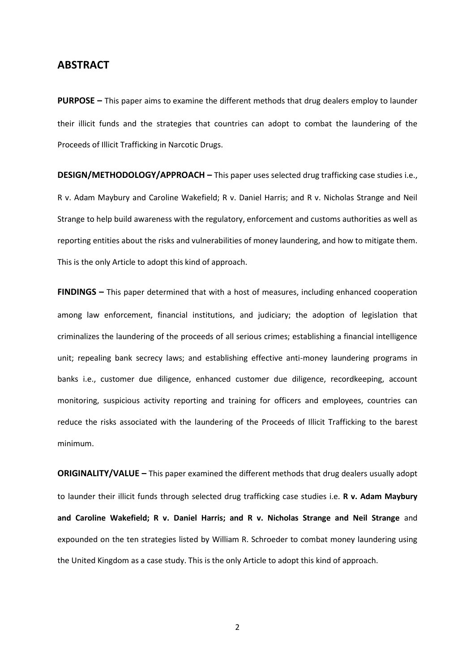### **ABSTRACT**

**PURPOSE –** This paper aims to examine the different methods that drug dealers employ to launder their illicit funds and the strategies that countries can adopt to combat the laundering of the Proceeds of Illicit Trafficking in Narcotic Drugs.

**DESIGN/METHODOLOGY/APPROACH –** This paper uses selected drug trafficking case studies i.e., R v. Adam Maybury and Caroline Wakefield; R v. Daniel Harris; and R v. Nicholas Strange and Neil Strange to help build awareness with the regulatory, enforcement and customs authorities as well as reporting entities about the risks and vulnerabilities of money laundering, and how to mitigate them. This is the only Article to adopt this kind of approach.

**FINDINGS –** This paper determined that with a host of measures, including enhanced cooperation among law enforcement, financial institutions, and judiciary; the adoption of legislation that criminalizes the laundering of the proceeds of all serious crimes; establishing a financial intelligence unit; repealing bank secrecy laws; and establishing effective anti-money laundering programs in banks i.e., customer due diligence, enhanced customer due diligence, recordkeeping, account monitoring, suspicious activity reporting and training for officers and employees, countries can reduce the risks associated with the laundering of the Proceeds of Illicit Trafficking to the barest minimum.

**ORIGINALITY/VALUE –** This paper examined the different methods that drug dealers usually adopt to launder their illicit funds through selected drug trafficking case studies i.e. **R v. Adam Maybury and Caroline Wakefield; R v. Daniel Harris; and R v. Nicholas Strange and Neil Strange** and expounded on the ten strategies listed by William R. Schroeder to combat money laundering using the United Kingdom as a case study. This is the only Article to adopt this kind of approach.

2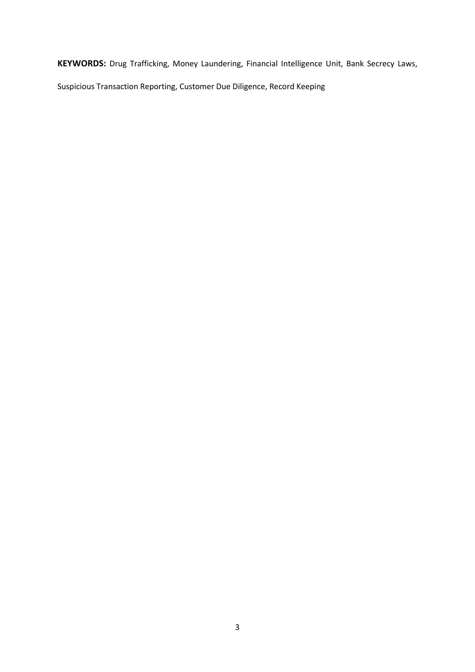**KEYWORDS:** Drug Trafficking, Money Laundering, Financial Intelligence Unit, Bank Secrecy Laws,

Suspicious Transaction Reporting, Customer Due Diligence, Record Keeping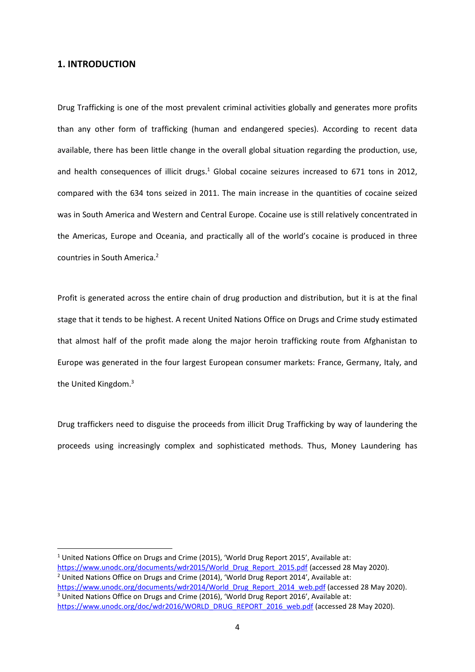#### **1. INTRODUCTION**

Drug Trafficking is one of the most prevalent criminal activities globally and generates more profits than any other form of trafficking (human and endangered species). According to recent data available, there has been little change in the overall global situation regarding the production, use, and health consequences of illicit drugs.<sup>1</sup> Global cocaine seizures increased to 671 tons in 2012, compared with the 634 tons seized in 2011. The main increase in the quantities of cocaine seized was in South America and Western and Central Europe. Cocaine use is still relatively concentrated in the Americas, Europe and Oceania, and practically all of the world's cocaine is produced in three countries in South America.<sup>2</sup>

Profit is generated across the entire chain of drug production and distribution, but it is at the final stage that it tends to be highest. A recent United Nations Office on Drugs and Crime study estimated that almost half of the profit made along the major heroin trafficking route from Afghanistan to Europe was generated in the four largest European consumer markets: France, Germany, Italy, and the United Kingdom.<sup>3</sup>

Drug traffickers need to disguise the proceeds from illicit Drug Trafficking by way of laundering the proceeds using increasingly complex and sophisticated methods. Thus, Money Laundering has

<sup>1</sup> United Nations Office on Drugs and Crime (2015), 'World Drug Report 2015', Available at: [https://www.unodc.org/documents/wdr2015/World\\_Drug\\_Report\\_2015.pdf](https://www.unodc.org/documents/wdr2015/World_Drug_Report_2015.pdf) (accessed 28 May 2020). <sup>2</sup> United Nations Office on Drugs and Crime (2014), 'World Drug Report 2014', Available at: [https://www.unodc.org/documents/wdr2014/World\\_Drug\\_Report\\_2014\\_web.pdf](https://www.unodc.org/documents/wdr2014/World_Drug_Report_2014_web.pdf) (accessed 28 May 2020). <sup>3</sup> United Nations Office on Drugs and Crime (2016), 'World Drug Report 2016', Available at:

[https://www.unodc.org/doc/wdr2016/WORLD\\_DRUG\\_REPORT\\_2016\\_web.pdf](https://www.unodc.org/doc/wdr2016/WORLD_DRUG_REPORT_2016_web.pdf) (accessed 28 May 2020).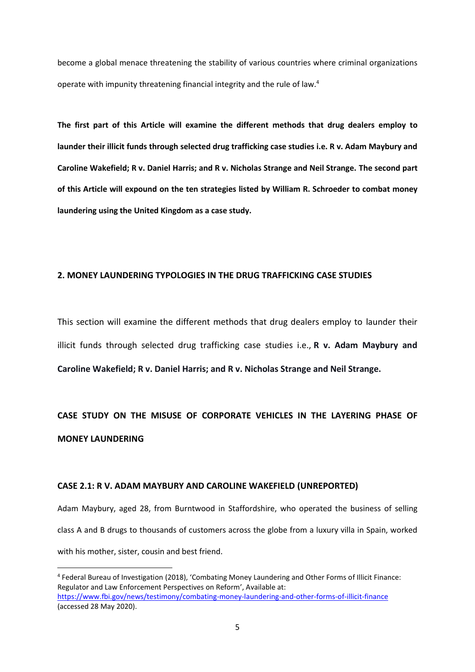become a global menace threatening the stability of various countries where criminal organizations operate with impunity threatening financial integrity and the rule of law.<sup>4</sup>

**The first part of this Article will examine the different methods that drug dealers employ to launder their illicit funds through selected drug trafficking case studies i.e. R v. Adam Maybury and Caroline Wakefield; R v. Daniel Harris; and R v. Nicholas Strange and Neil Strange. The second part of this Article will expound on the ten strategies listed by William R. Schroeder to combat money laundering using the United Kingdom as a case study.**

#### **2. MONEY LAUNDERING TYPOLOGIES IN THE DRUG TRAFFICKING CASE STUDIES**

This section will examine the different methods that drug dealers employ to launder their illicit funds through selected drug trafficking case studies i.e., **R v. Adam Maybury and Caroline Wakefield; R v. Daniel Harris; and R v. Nicholas Strange and Neil Strange.**

## **CASE STUDY ON THE MISUSE OF CORPORATE VEHICLES IN THE LAYERING PHASE OF MONEY LAUNDERING**

#### **CASE 2.1: R V. ADAM MAYBURY AND CAROLINE WAKEFIELD (UNREPORTED)**

Adam Maybury, aged 28, from Burntwood in Staffordshire, who operated the business of selling class A and B drugs to thousands of customers across the globe from a luxury villa in Spain, worked with his mother, sister, cousin and best friend.

<sup>4</sup> Federal Bureau of Investigation (2018), 'Combating Money Laundering and Other Forms of Illicit Finance: Regulator and Law Enforcement Perspectives on Reform', Available at: <https://www.fbi.gov/news/testimony/combating-money-laundering-and-other-forms-of-illicit-finance> (accessed 28 May 2020).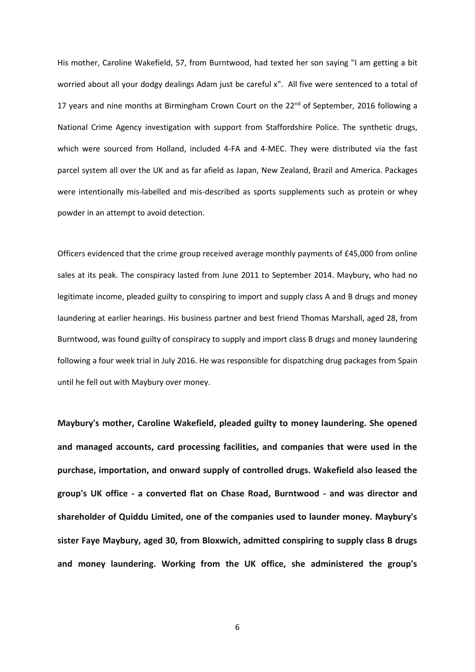His mother, Caroline Wakefield, 57, from Burntwood, had texted her son saying "I am getting a bit worried about all your dodgy dealings Adam just be careful x". All five were sentenced to a total of 17 years and nine months at Birmingham Crown Court on the 22<sup>nd</sup> of September, 2016 following a National Crime Agency investigation with support from Staffordshire Police. The synthetic drugs, which were sourced from Holland, included 4-FA and 4-MEC. They were distributed via the fast parcel system all over the UK and as far afield as Japan, New Zealand, Brazil and America. Packages were intentionally mis-labelled and mis-described as sports supplements such as protein or whey powder in an attempt to avoid detection.

Officers evidenced that the crime group received average monthly payments of £45,000 from online sales at its peak. The conspiracy lasted from June 2011 to September 2014. Maybury, who had no legitimate income, pleaded guilty to conspiring to import and supply class A and B drugs and money laundering at earlier hearings. His business partner and best friend Thomas Marshall, aged 28, from Burntwood, was found guilty of conspiracy to supply and import class B drugs and money laundering following a four week trial in July 2016. He was responsible for dispatching drug packages from Spain until he fell out with Maybury over money.

**Maybury's mother, Caroline Wakefield, pleaded guilty to money laundering. She opened and managed accounts, card processing facilities, and companies that were used in the purchase, importation, and onward supply of controlled drugs. Wakefield also leased the group's UK office - a converted flat on Chase Road, Burntwood - and was director and shareholder of Quiddu Limited, one of the companies used to launder money. Maybury's sister Faye Maybury, aged 30, from Bloxwich, admitted conspiring to supply class B drugs and money laundering. Working from the UK office, she administered the group's**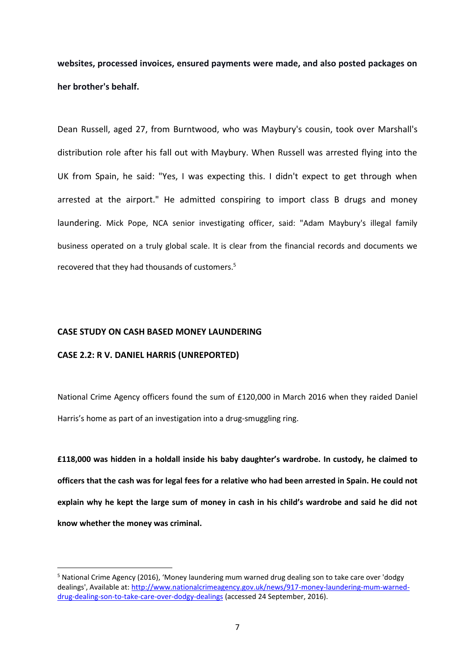**websites, processed invoices, ensured payments were made, and also posted packages on her brother's behalf.**

Dean Russell, aged 27, from Burntwood, who was Maybury's cousin, took over Marshall's distribution role after his fall out with Maybury. When Russell was arrested flying into the UK from Spain, he said: "Yes, I was expecting this. I didn't expect to get through when arrested at the airport." He admitted conspiring to import class B drugs and money laundering. Mick Pope, NCA senior investigating officer, said: "Adam Maybury's illegal family business operated on a truly global scale. It is clear from the financial records and documents we recovered that they had thousands of customers.<sup>5</sup>

#### **CASE STUDY ON CASH BASED MONEY LAUNDERING**

#### **CASE 2.2: R V. DANIEL HARRIS (UNREPORTED)**

National Crime Agency officers found the sum of £120,000 in March 2016 when they raided Daniel Harris's home as part of an investigation into a drug-smuggling ring.

**£118,000 was hidden in a holdall inside his baby daughter's wardrobe. In custody, he claimed to officers that the cash was for legal fees for a relative who had been arrested in Spain. He could not explain why he kept the large sum of money in cash in his child's wardrobe and said he did not know whether the money was criminal.**

<sup>5</sup> National Crime Agency (2016), 'Money laundering mum warned drug dealing son to take care over 'dodgy dealings', Available at: [http://www.nationalcrimeagency.gov.uk/news/917-money-laundering-mum-warned](http://www.nationalcrimeagency.gov.uk/news/917-money-laundering-mum-warned-drug-dealing-son-to-take-care-over-dodgy-dealings)[drug-dealing-son-to-take-care-over-dodgy-dealings](http://www.nationalcrimeagency.gov.uk/news/917-money-laundering-mum-warned-drug-dealing-son-to-take-care-over-dodgy-dealings) (accessed 24 September, 2016).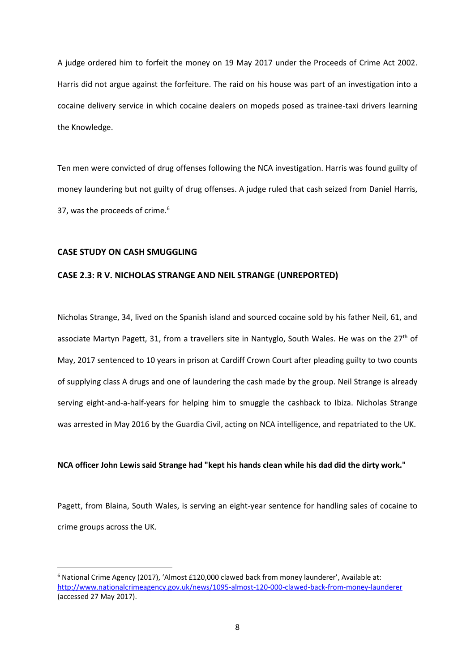A judge ordered him to forfeit the money on 19 May 2017 under the Proceeds of Crime Act 2002. Harris did not argue against the forfeiture. The raid on his house was part of an investigation into a cocaine delivery service in which cocaine dealers on mopeds posed as trainee-taxi drivers learning the Knowledge.

Ten men were convicted of drug offenses following the NCA investigation. Harris was found guilty of money laundering but not guilty of drug offenses. A judge ruled that cash seized from Daniel Harris, 37, was the proceeds of crime.<sup>6</sup>

#### **CASE STUDY ON CASH SMUGGLING**

#### **CASE 2.3: R V. NICHOLAS STRANGE AND NEIL STRANGE (UNREPORTED)**

Nicholas Strange, 34, lived on the Spanish island and sourced cocaine sold by his father Neil, 61, and associate Martyn Pagett, 31, from a travellers site in Nantyglo, South Wales. He was on the 27<sup>th</sup> of May, 2017 sentenced to 10 years in prison at Cardiff Crown Court after pleading guilty to two counts of supplying class A drugs and one of laundering the cash made by the group. Neil Strange is already serving eight-and-a-half-years for helping him to smuggle the cashback to Ibiza. Nicholas Strange was arrested in May 2016 by the Guardia Civil, acting on NCA intelligence, and repatriated to the UK.

#### **NCA officer John Lewis said Strange had "kept his hands clean while his dad did the dirty work."**

Pagett, from Blaina, South Wales, is serving an eight-year sentence for handling sales of cocaine to crime groups across the UK.

<sup>6</sup> National Crime Agency (2017), 'Almost £120,000 clawed back from money launderer', Available at: <http://www.nationalcrimeagency.gov.uk/news/1095-almost-120-000-clawed-back-from-money-launderer> (accessed 27 May 2017).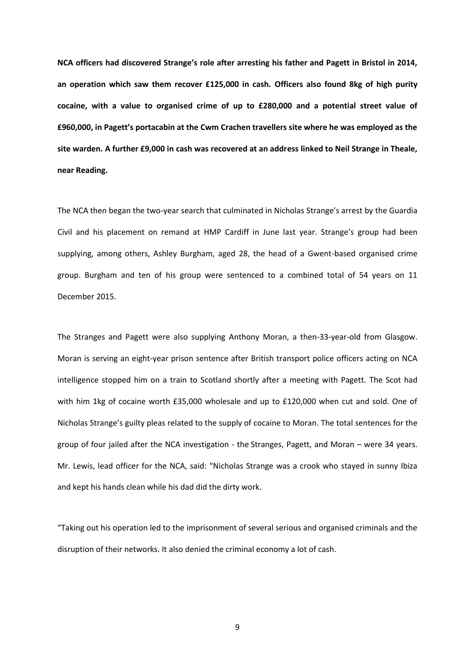**NCA officers had discovered Strange's role after arresting his father and Pagett in Bristol in 2014, an operation which saw them recover £125,000 in cash. Officers also found 8kg of high purity cocaine, with a value to organised crime of up to £280,000 and a potential street value of £960,000, in Pagett's portacabin at the Cwm Crachen travellers site where he was employed as the site warden. A further £9,000 in cash was recovered at an address linked to Neil Strange in Theale, near Reading.**

The NCA then began the two-year search that culminated in Nicholas Strange's arrest by the Guardia Civil and his placement on remand at HMP Cardiff in June last year. Strange's group had been supplying, among others, Ashley Burgham, aged 28, the head of a Gwent-based organised crime group. Burgham and ten of his group were sentenced to a combined total of 54 years on 11 December 2015.

The Stranges and Pagett were also supplying Anthony Moran, a then-33-year-old from Glasgow. Moran is serving an eight-year prison sentence after British transport police officers acting on NCA intelligence stopped him on a train to Scotland shortly after a meeting with Pagett. The Scot had with him 1kg of cocaine worth £35,000 wholesale and up to £120,000 when cut and sold. One of Nicholas Strange's guilty pleas related to the supply of cocaine to Moran. The total sentences for the group of four jailed after the NCA investigation - the Stranges, Pagett, and Moran – were 34 years. Mr. Lewis, lead officer for the NCA, said: "Nicholas Strange was a crook who stayed in sunny Ibiza and kept his hands clean while his dad did the dirty work.

"Taking out his operation led to the imprisonment of several serious and organised criminals and the disruption of their networks. It also denied the criminal economy a lot of cash.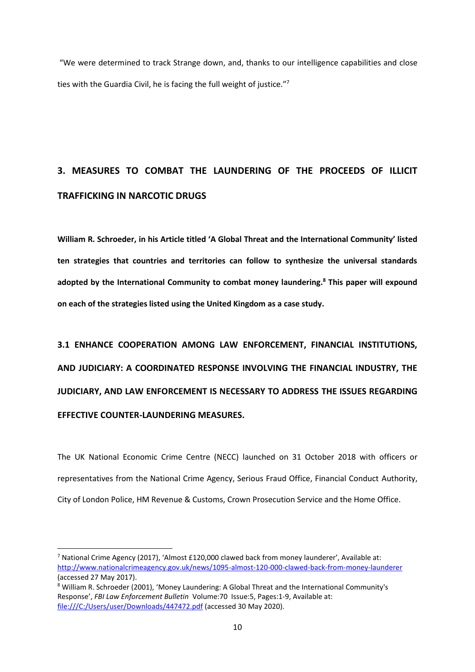"We were determined to track Strange down, and, thanks to our intelligence capabilities and close ties with the Guardia Civil, he is facing the full weight of justice."<sup>7</sup>

# **3. MEASURES TO COMBAT THE LAUNDERING OF THE PROCEEDS OF ILLICIT TRAFFICKING IN NARCOTIC DRUGS**

**William R. Schroeder, in his Article titled 'A Global Threat and the International Community' listed ten strategies that countries and territories can follow to synthesize the universal standards adopted by the International Community to combat money laundering. <sup>8</sup> This paper will expound on each of the strategies listed using the United Kingdom as a case study.**

**3.1 ENHANCE COOPERATION AMONG LAW ENFORCEMENT, FINANCIAL INSTITUTIONS, AND JUDICIARY: A COORDINATED RESPONSE INVOLVING THE FINANCIAL INDUSTRY, THE JUDICIARY, AND LAW ENFORCEMENT IS NECESSARY TO ADDRESS THE ISSUES REGARDING EFFECTIVE COUNTER-LAUNDERING MEASURES.** 

The UK National Economic Crime Centre (NECC) launched on 31 October 2018 with officers or representatives from the National Crime Agency, Serious Fraud Office, Financial Conduct Authority, City of London Police, HM Revenue & Customs, Crown Prosecution Service and the Home Office.

<sup>&</sup>lt;sup>7</sup> National Crime Agency (2017), 'Almost £120,000 clawed back from money launderer', Available at: <http://www.nationalcrimeagency.gov.uk/news/1095-almost-120-000-clawed-back-from-money-launderer> (accessed 27 May 2017).

<sup>8</sup> William R. Schroeder (2001), 'Money Laundering: A Global Threat and the International Community's Response', *FBI Law Enforcement Bulletin* Volume:70 Issue:5, Pages:1-9, Available at: <file:///C:/Users/user/Downloads/447472.pdf> (accessed 30 May 2020).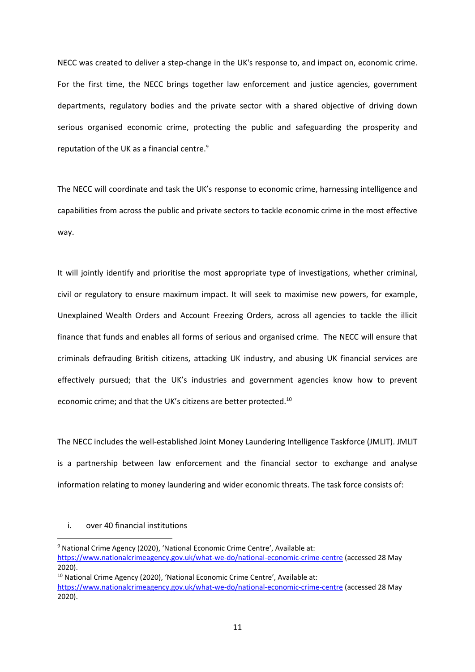NECC was created to deliver a step-change in the UK's response to, and impact on, economic crime. For the first time, the NECC brings together law enforcement and justice agencies, government departments, regulatory bodies and the private sector with a shared objective of driving down serious organised economic crime, protecting the public and safeguarding the prosperity and reputation of the UK as a financial centre.<sup>9</sup>

The NECC will coordinate and task the UK's response to economic crime, harnessing intelligence and capabilities from across the public and private sectors to tackle economic crime in the most effective way.

It will jointly identify and prioritise the most appropriate type of investigations, whether criminal, civil or regulatory to ensure maximum impact. It will seek to maximise new powers, for example, Unexplained Wealth Orders and Account Freezing Orders, across all agencies to tackle the illicit finance that funds and enables all forms of serious and organised crime. The NECC will ensure that criminals defrauding British citizens, attacking UK industry, and abusing UK financial services are effectively pursued; that the UK's industries and government agencies know how to prevent economic crime; and that the UK's citizens are better protected.<sup>10</sup>

The NECC includes the well-established Joint Money Laundering Intelligence Taskforce (JMLIT). JMLIT is a partnership between law enforcement and the financial sector to exchange and analyse information relating to money laundering and wider economic threats. The task force consists of:

#### i. over 40 financial institutions

<sup>&</sup>lt;sup>9</sup> National Crime Agency (2020), 'National Economic Crime Centre', Available at: <https://www.nationalcrimeagency.gov.uk/what-we-do/national-economic-crime-centre> (accessed 28 May 2020).

<sup>&</sup>lt;sup>10</sup> National Crime Agency (2020), 'National Economic Crime Centre', Available at:

<https://www.nationalcrimeagency.gov.uk/what-we-do/national-economic-crime-centre> (accessed 28 May 2020).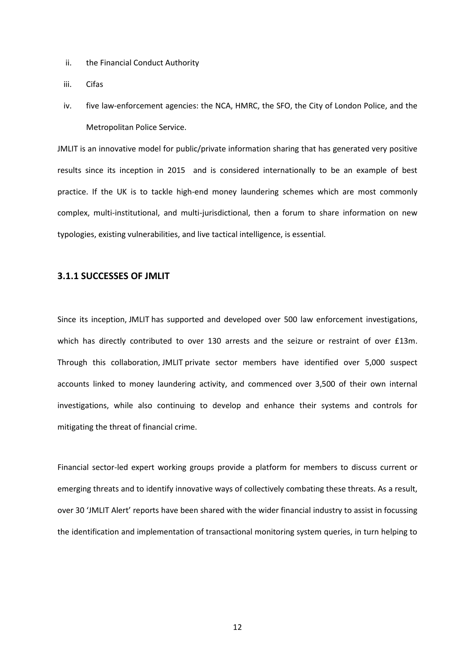- ii. the Financial Conduct Authority
- iii. Cifas
- iv. five law-enforcement agencies: the NCA, HMRC, the SFO, the City of London Police, and the Metropolitan Police Service.

JMLIT is an innovative model for public/private information sharing that has generated very positive results since its inception in 2015 and is considered internationally to be an example of best practice. If the UK is to tackle high-end money laundering schemes which are most commonly complex, multi-institutional, and multi-jurisdictional, then a forum to share information on new typologies, existing vulnerabilities, and live tactical intelligence, is essential.

#### **3.1.1 SUCCESSES OF JMLIT**

Since its inception, JMLIT has supported and developed over 500 law enforcement investigations, which has directly contributed to over 130 arrests and the seizure or restraint of over £13m. Through this collaboration, JMLIT private sector members have identified over 5,000 suspect accounts linked to money laundering activity, and commenced over 3,500 of their own internal investigations, while also continuing to develop and enhance their systems and controls for mitigating the threat of financial crime.

Financial sector-led expert working groups provide a platform for members to discuss current or emerging threats and to identify innovative ways of collectively combating these threats. As a result, over 30 'JMLIT Alert' reports have been shared with the wider financial industry to assist in focussing the identification and implementation of transactional monitoring system queries, in turn helping to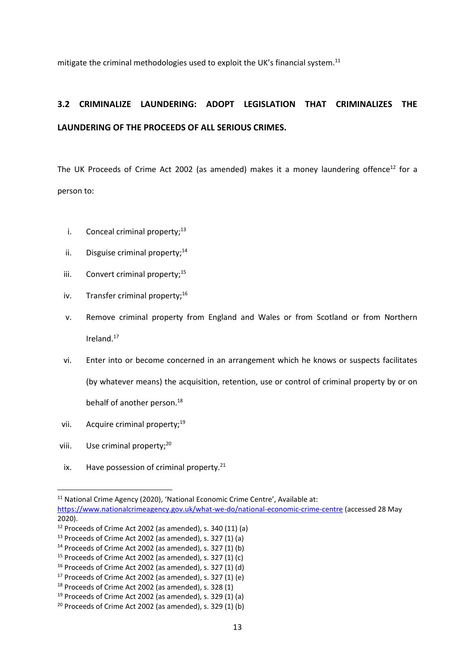mitigate the criminal methodologies used to exploit the UK's financial system.<sup>11</sup>

## **3.2 CRIMINALIZE LAUNDERING: ADOPT LEGISLATION THAT CRIMINALIZES THE LAUNDERING OF THE PROCEEDS OF ALL SERIOUS CRIMES.**

The UK Proceeds of Crime Act 2002 (as amended) makes it a money laundering offence<sup>12</sup> for a person to:

- i. Conceal criminal property; $13$
- ii. Disguise criminal property: $14$
- iii. Convert criminal property; $^{15}$
- iv. Transfer criminal property:<sup>16</sup>
- v. Remove criminal property from England and Wales or from Scotland or from Northern Ireland.<sup>17</sup>
- vi. Enter into or become concerned in an arrangement which he knows or suspects facilitates (by whatever means) the acquisition, retention, use or control of criminal property by or on behalf of another person.<sup>18</sup>
- vii. Acquire criminal property:<sup>19</sup>
- viii. Use criminal property;<sup>20</sup>
- ix. Have possession of criminal property. $21$

<sup>&</sup>lt;sup>11</sup> National Crime Agency (2020), 'National Economic Crime Centre', Available at: <https://www.nationalcrimeagency.gov.uk/what-we-do/national-economic-crime-centre> (accessed 28 May 2020).

 $12$  Proceeds of Crime Act 2002 (as amended), s. 340 (11) (a)

 $13$  Proceeds of Crime Act 2002 (as amended), s. 327 (1) (a)

 $14$  Proceeds of Crime Act 2002 (as amended), s. 327 (1) (b)

 $15$  Proceeds of Crime Act 2002 (as amended), s. 327 (1) (c)

 $16$  Proceeds of Crime Act 2002 (as amended), s. 327 (1) (d)

<sup>17</sup> Proceeds of Crime Act 2002 (as amended), s. 327 (1) (e)

 $18$  Proceeds of Crime Act 2002 (as amended), s. 328 (1)

 $19$  Proceeds of Crime Act 2002 (as amended), s. 329 (1) (a)

 $20$  Proceeds of Crime Act 2002 (as amended), s. 329 (1) (b)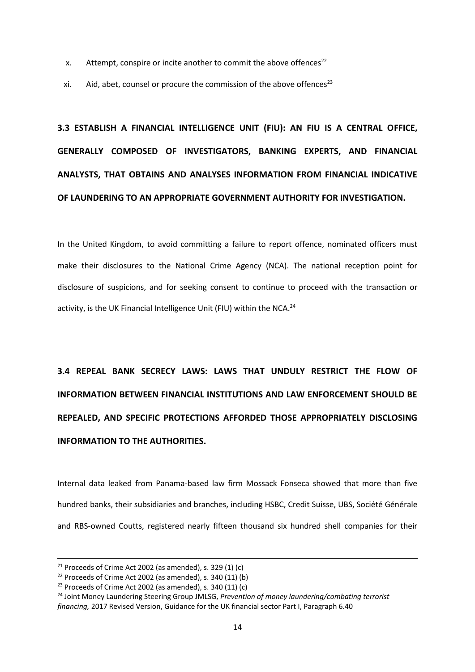- x. Attempt, conspire or incite another to commit the above offences<sup>22</sup>
- xi. Aid, abet, counsel or procure the commission of the above offences<sup>23</sup>

# **3.3 ESTABLISH A FINANCIAL INTELLIGENCE UNIT (FIU): AN FIU IS A CENTRAL OFFICE, GENERALLY COMPOSED OF INVESTIGATORS, BANKING EXPERTS, AND FINANCIAL ANALYSTS, THAT OBTAINS AND ANALYSES INFORMATION FROM FINANCIAL INDICATIVE OF LAUNDERING TO AN APPROPRIATE GOVERNMENT AUTHORITY FOR INVESTIGATION.**

In the United Kingdom, to avoid committing a failure to report offence, nominated officers must make their disclosures to the National Crime Agency (NCA). The national reception point for disclosure of suspicions, and for seeking consent to continue to proceed with the transaction or activity, is the UK Financial Intelligence Unit (FIU) within the NCA.<sup>24</sup>

**3.4 REPEAL BANK SECRECY LAWS: LAWS THAT UNDULY RESTRICT THE FLOW OF INFORMATION BETWEEN FINANCIAL INSTITUTIONS AND LAW ENFORCEMENT SHOULD BE REPEALED, AND SPECIFIC PROTECTIONS AFFORDED THOSE APPROPRIATELY DISCLOSING INFORMATION TO THE AUTHORITIES.**

Internal data leaked from Panama-based law firm Mossack Fonseca showed that more than five hundred banks, their subsidiaries and branches, including HSBC, Credit Suisse, UBS, Société Générale and RBS-owned Coutts, registered nearly fifteen thousand six hundred shell companies for their

 $21$  Proceeds of Crime Act 2002 (as amended), s. 329 (1) (c)

 $22$  Proceeds of Crime Act 2002 (as amended), s. 340 (11) (b)

 $23$  Proceeds of Crime Act 2002 (as amended), s. 340 (11) (c)

<sup>24</sup> Joint Money Laundering Steering Group JMLSG, *Prevention of money laundering/combating terrorist financing,* 2017 Revised Version, Guidance for the UK financial sector Part I, Paragraph 6.40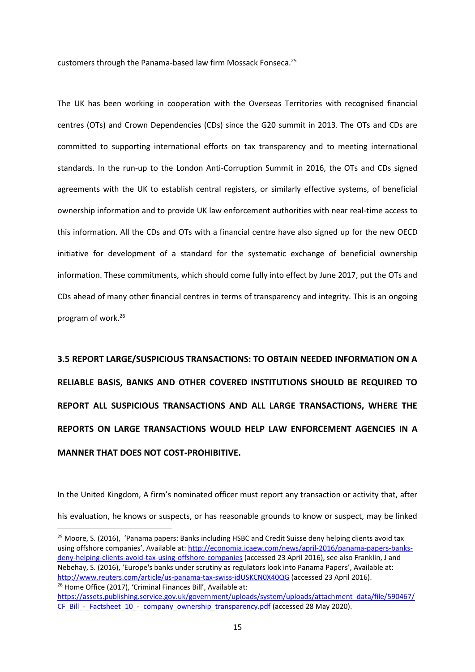customers through the Panama-based law firm Mossack Fonseca.<sup>25</sup>

The UK has been working in cooperation with the Overseas Territories with recognised financial centres (OTs) and Crown Dependencies (CDs) since the G20 summit in 2013. The OTs and CDs are committed to supporting international efforts on tax transparency and to meeting international standards. In the run-up to the London Anti-Corruption Summit in 2016, the OTs and CDs signed agreements with the UK to establish central registers, or similarly effective systems, of beneficial ownership information and to provide UK law enforcement authorities with near real-time access to this information. All the CDs and OTs with a financial centre have also signed up for the new OECD initiative for development of a standard for the systematic exchange of beneficial ownership information. These commitments, which should come fully into effect by June 2017, put the OTs and CDs ahead of many other financial centres in terms of transparency and integrity. This is an ongoing program of work.<sup>26</sup>

**3.5 REPORT LARGE/SUSPICIOUS TRANSACTIONS: TO OBTAIN NEEDED INFORMATION ON A RELIABLE BASIS, BANKS AND OTHER COVERED INSTITUTIONS SHOULD BE REQUIRED TO REPORT ALL SUSPICIOUS TRANSACTIONS AND ALL LARGE TRANSACTIONS, WHERE THE REPORTS ON LARGE TRANSACTIONS WOULD HELP LAW ENFORCEMENT AGENCIES IN A MANNER THAT DOES NOT COST-PROHIBITIVE.**

In the United Kingdom, A firm's nominated officer must report any transaction or activity that, after his evaluation, he knows or suspects, or has reasonable grounds to know or suspect, may be linked

<sup>25</sup> Moore, S. (2016), 'Panama papers: Banks including HSBC and Credit Suisse deny helping clients avoid tax using offshore companies', Available at: [http://economia.icaew.com/news/april-2016/panama-papers-banks](http://economia.icaew.com/news/april-2016/panama-papers-banks-deny-helping-clients-avoid-tax-using-offshore-companies)[deny-helping-clients-avoid-tax-using-offshore-companies](http://economia.icaew.com/news/april-2016/panama-papers-banks-deny-helping-clients-avoid-tax-using-offshore-companies) (accessed 23 April 2016), see also Franklin, J and Nebehay, S. (2016), 'Europe's banks under scrutiny as regulators look into Panama Papers', Available at: <http://www.reuters.com/article/us-panama-tax-swiss-idUSKCN0X40QG> (accessed 23 April 2016). <sup>26</sup> Home Office (2017), 'Criminal Finances Bill', Available at:

[https://assets.publishing.service.gov.uk/government/uploads/system/uploads/attachment\\_data/file/590467/](https://assets.publishing.service.gov.uk/government/uploads/system/uploads/attachment_data/file/590467/CF_Bill_-_Factsheet_10_-_company_ownership_transparency.pdf) CF\_Bill - Factsheet 10 - company\_ownership\_transparency.pdf (accessed 28 May 2020).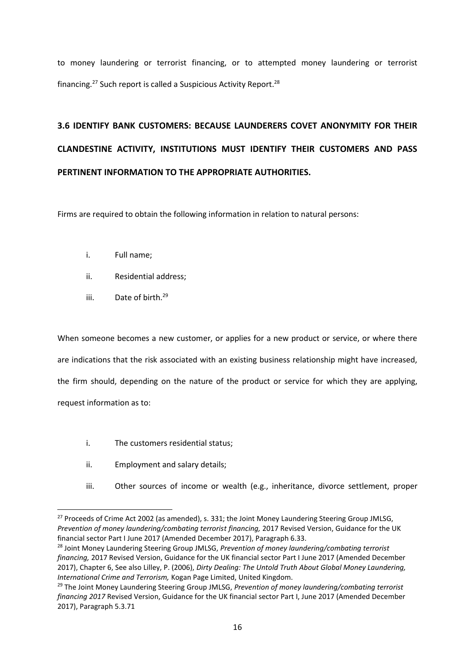to money laundering or terrorist financing, or to attempted money laundering or terrorist financing.<sup>27</sup> Such report is called a Suspicious Activity Report.<sup>28</sup>

# **3.6 IDENTIFY BANK CUSTOMERS: BECAUSE LAUNDERERS COVET ANONYMITY FOR THEIR CLANDESTINE ACTIVITY, INSTITUTIONS MUST IDENTIFY THEIR CUSTOMERS AND PASS PERTINENT INFORMATION TO THE APPROPRIATE AUTHORITIES.**

Firms are required to obtain the following information in relation to natural persons:

- i. Full name;
- ii. Residential address;
- iii. Date of birth.<sup>29</sup>

When someone becomes a new customer, or applies for a new product or service, or where there are indications that the risk associated with an existing business relationship might have increased, the firm should, depending on the nature of the product or service for which they are applying, request information as to:

- i. The customers residential status;
- ii. Employment and salary details;
- iii. Other sources of income or wealth (e.g., inheritance, divorce settlement, proper

<sup>&</sup>lt;sup>27</sup> Proceeds of Crime Act 2002 (as amended), s. 331; the Joint Money Laundering Steering Group JMLSG, *Prevention of money laundering/combating terrorist financing,* 2017 Revised Version, Guidance for the UK financial sector Part I June 2017 (Amended December 2017), Paragraph 6.33.

<sup>28</sup> Joint Money Laundering Steering Group JMLSG, *Prevention of money laundering/combating terrorist financing,* 2017 Revised Version, Guidance for the UK financial sector Part I June 2017 (Amended December 2017), Chapter 6, See also Lilley, P. (2006), *Dirty Dealing: The Untold Truth About Global Money Laundering, International Crime and Terrorism,* Kogan Page Limited, United Kingdom.

<sup>29</sup> The Joint Money Laundering Steering Group JMLSG, *Prevention of money laundering/combating terrorist financing 2017* Revised Version, Guidance for the UK financial sector Part I, June 2017 (Amended December 2017), Paragraph 5.3.71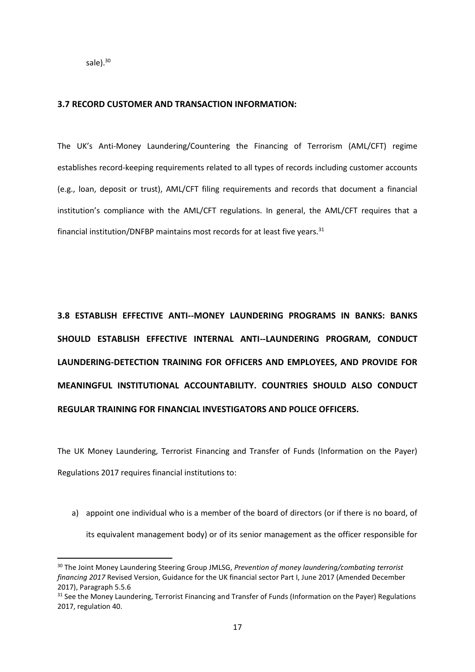sale $).$ <sup>30</sup>

#### **3.7 RECORD CUSTOMER AND TRANSACTION INFORMATION:**

The UK's Anti-Money Laundering/Countering the Financing of Terrorism (AML/CFT) regime establishes record-keeping requirements related to all types of records including customer accounts (e.g., loan, deposit or trust), AML/CFT filing requirements and records that document a financial institution's compliance with the AML/CFT regulations. In general, the AML/CFT requires that a financial institution/DNFBP maintains most records for at least five years. $31$ 

**3.8 ESTABLISH EFFECTIVE ANTI--MONEY LAUNDERING PROGRAMS IN BANKS: BANKS SHOULD ESTABLISH EFFECTIVE INTERNAL ANTI--LAUNDERING PROGRAM, CONDUCT LAUNDERING-DETECTION TRAINING FOR OFFICERS AND EMPLOYEES, AND PROVIDE FOR MEANINGFUL INSTITUTIONAL ACCOUNTABILITY. COUNTRIES SHOULD ALSO CONDUCT REGULAR TRAINING FOR FINANCIAL INVESTIGATORS AND POLICE OFFICERS.**

The UK Money Laundering, Terrorist Financing and Transfer of Funds (Information on the Payer) Regulations 2017 requires financial institutions to:

a) appoint one individual who is a member of the board of directors (or if there is no board, of its equivalent management body) or of its senior management as the officer responsible for

<sup>30</sup> The Joint Money Laundering Steering Group JMLSG, *Prevention of money laundering/combating terrorist financing 2017* Revised Version, Guidance for the UK financial sector Part I, June 2017 (Amended December 2017), Paragraph 5.5.6

<sup>&</sup>lt;sup>31</sup> See the Money Laundering, Terrorist Financing and Transfer of Funds (Information on the Payer) Regulations 2017, regulation 40.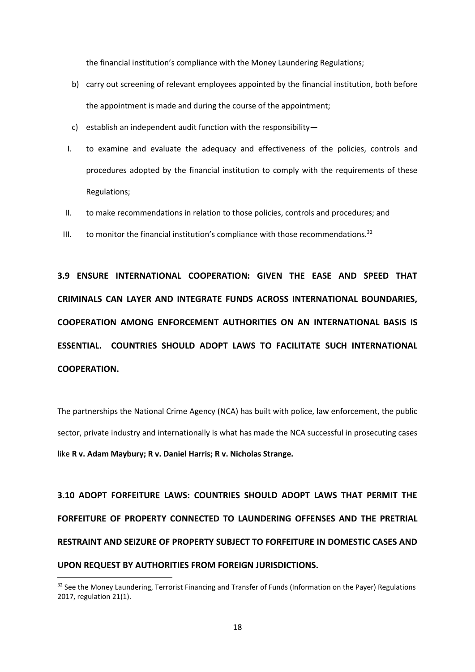the financial institution's compliance with the Money Laundering Regulations;

- b) carry out screening of relevant employees appointed by the financial institution, both before the appointment is made and during the course of the appointment;
- c) establish an independent audit function with the responsibility—
- I. to examine and evaluate the adequacy and effectiveness of the policies, controls and procedures adopted by the financial institution to comply with the requirements of these Regulations;
- II. to make recommendations in relation to those policies, controls and procedures; and
- III. to monitor the financial institution's compliance with those recommendations. $32$

**3.9 ENSURE INTERNATIONAL COOPERATION: GIVEN THE EASE AND SPEED THAT CRIMINALS CAN LAYER AND INTEGRATE FUNDS ACROSS INTERNATIONAL BOUNDARIES, COOPERATION AMONG ENFORCEMENT AUTHORITIES ON AN INTERNATIONAL BASIS IS ESSENTIAL. COUNTRIES SHOULD ADOPT LAWS TO FACILITATE SUCH INTERNATIONAL COOPERATION.**

The partnerships the National Crime Agency (NCA) has built with police, law enforcement, the public sector, private industry and internationally is what has made the NCA successful in prosecuting cases like **R v. Adam Maybury; R v. Daniel Harris; R v. Nicholas Strange.**

**3.10 ADOPT FORFEITURE LAWS: COUNTRIES SHOULD ADOPT LAWS THAT PERMIT THE FORFEITURE OF PROPERTY CONNECTED TO LAUNDERING OFFENSES AND THE PRETRIAL RESTRAINT AND SEIZURE OF PROPERTY SUBJECT TO FORFEITURE IN DOMESTIC CASES AND UPON REQUEST BY AUTHORITIES FROM FOREIGN JURISDICTIONS.**

<sup>&</sup>lt;sup>32</sup> See the Money Laundering, Terrorist Financing and Transfer of Funds (Information on the Payer) Regulations 2017, regulation 21(1).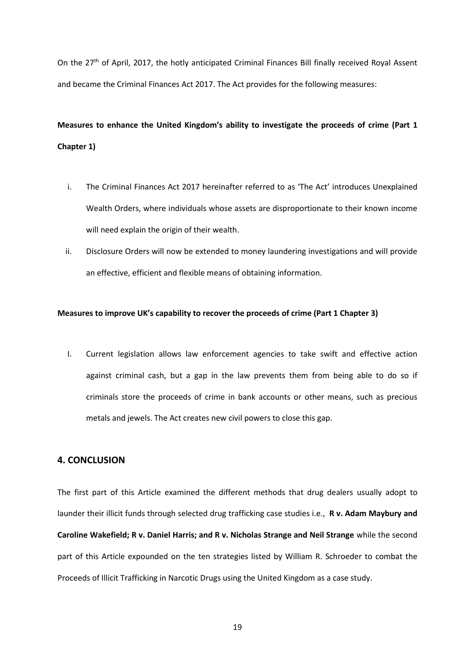On the 27<sup>th</sup> of April, 2017, the hotly anticipated Criminal Finances Bill finally received Royal Assent and became the Criminal Finances Act 2017. The Act provides for the following measures:

## **Measures to enhance the United Kingdom's ability to investigate the proceeds of crime (Part 1 Chapter 1)**

- i. The Criminal Finances Act 2017 hereinafter referred to as 'The Act' introduces Unexplained Wealth Orders, where individuals whose assets are disproportionate to their known income will need explain the origin of their wealth.
- ii. Disclosure Orders will now be extended to money laundering investigations and will provide an effective, efficient and flexible means of obtaining information.

#### **Measures to improve UK's capability to recover the proceeds of crime (Part 1 Chapter 3)**

I. Current legislation allows law enforcement agencies to take swift and effective action against criminal cash, but a gap in the law prevents them from being able to do so if criminals store the proceeds of crime in bank accounts or other means, such as precious metals and jewels. The Act creates new civil powers to close this gap.

#### **4. CONCLUSION**

The first part of this Article examined the different methods that drug dealers usually adopt to launder their illicit funds through selected drug trafficking case studies i.e., **R v. Adam Maybury and Caroline Wakefield; R v. Daniel Harris; and R v. Nicholas Strange and Neil Strange** while the second part of this Article expounded on the ten strategies listed by William R. Schroeder to combat the Proceeds of Illicit Trafficking in Narcotic Drugs using the United Kingdom as a case study.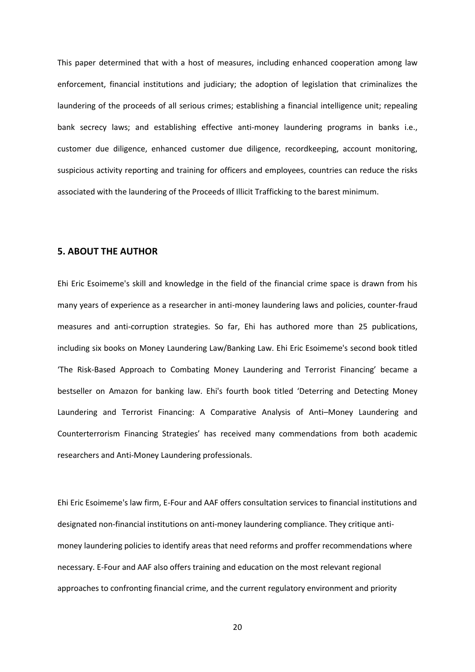This paper determined that with a host of measures, including enhanced cooperation among law enforcement, financial institutions and judiciary; the adoption of legislation that criminalizes the laundering of the proceeds of all serious crimes; establishing a financial intelligence unit; repealing bank secrecy laws; and establishing effective anti-money laundering programs in banks i.e., customer due diligence, enhanced customer due diligence, recordkeeping, account monitoring, suspicious activity reporting and training for officers and employees, countries can reduce the risks associated with the laundering of the Proceeds of Illicit Trafficking to the barest minimum.

### **5. ABOUT THE AUTHOR**

Ehi Eric Esoimeme's skill and knowledge in the field of the financial crime space is drawn from his many years of experience as a researcher in anti-money laundering laws and policies, counter-fraud measures and anti-corruption strategies. So far, Ehi has authored more than 25 publications, including six books on Money Laundering Law/Banking Law. Ehi Eric Esoimeme's second book titled 'The Risk-Based Approach to Combating Money Laundering and Terrorist Financing' became a bestseller on Amazon for banking law. Ehi's fourth book titled 'Deterring and Detecting Money Laundering and Terrorist Financing: A Comparative Analysis of Anti–Money Laundering and Counterterrorism Financing Strategies' has received many commendations from both academic researchers and Anti-Money Laundering professionals.

Ehi Eric Esoimeme's law firm, E-Four and AAF offers consultation services to financial institutions and designated non-financial institutions on anti-money laundering compliance. They critique antimoney laundering policies to identify areas that need reforms and proffer recommendations where necessary. E-Four and AAF also offers training and education on the most relevant regional approaches to confronting financial crime, and the current regulatory environment and priority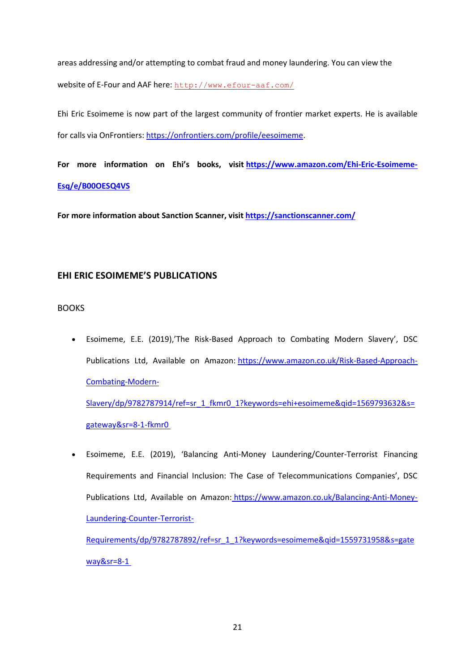areas addressing and/or attempting to combat fraud and money laundering. You can view the website of E-Four and AAF here: <http://www.efour-aaf.com/>

Ehi Eric Esoimeme is now part of the largest community of frontier market experts. He is available for calls via OnFrontiers: [https://onfrontiers.com/profile/eesoimeme.](https://onfrontiers.com/profile/eesoimeme)

**For more information on Ehi's books, visit [https://www.amazon.com/Ehi-Eric-Esoimeme-](https://www.amazon.com/Ehi-Eric-Esoimeme-Esq/e/B00OESQ4VS)[Esq/e/B00OESQ4VS](https://www.amazon.com/Ehi-Eric-Esoimeme-Esq/e/B00OESQ4VS)**

**For more information about Sanction Scanner, visit<https://sanctionscanner.com/>**

### **EHI ERIC ESOIMEME'S PUBLICATIONS**

BOOKS

• Esoimeme, E.E. (2019),'The Risk-Based Approach to Combating Modern Slavery', DSC Publications Ltd, Available on Amazon: [https://www.amazon.co.uk/Risk-Based-Approach-](https://www.amazon.co.uk/Risk-Based-Approach-Combating-Modern-Slavery/dp/9782787914/ref=sr_1_fkmr0_1?keywords=ehi+esoimeme&qid=1569793632&s=gateway&sr=8-1-fkmr0 )[Combating-Modern-](https://www.amazon.co.uk/Risk-Based-Approach-Combating-Modern-Slavery/dp/9782787914/ref=sr_1_fkmr0_1?keywords=ehi+esoimeme&qid=1569793632&s=gateway&sr=8-1-fkmr0 )

[Slavery/dp/9782787914/ref=sr\\_1\\_fkmr0\\_1?keywords=ehi+esoimeme&qid=1569793632&s=](https://www.amazon.co.uk/Risk-Based-Approach-Combating-Modern-Slavery/dp/9782787914/ref=sr_1_fkmr0_1?keywords=ehi+esoimeme&qid=1569793632&s=gateway&sr=8-1-fkmr0 ) [gateway&sr=8-1-fkmr0](https://www.amazon.co.uk/Risk-Based-Approach-Combating-Modern-Slavery/dp/9782787914/ref=sr_1_fkmr0_1?keywords=ehi+esoimeme&qid=1569793632&s=gateway&sr=8-1-fkmr0 )

• Esoimeme, E.E. (2019), 'Balancing Anti-Money Laundering/Counter-Terrorist Financing Requirements and Financial Inclusion: The Case of Telecommunications Companies', DSC Publications Ltd, Available on Amazon: [https://www.amazon.co.uk/Balancing-Anti-Money-](https://www.amazon.co.uk/Balancing-Anti-Money-Laundering-Counter-Terrorist-Requirements/dp/9782787892/ref=sr_1_1?keywords=esoimeme&qid=1559731958&s=gateway&sr=8-1)[Laundering-Counter-Terrorist-](https://www.amazon.co.uk/Balancing-Anti-Money-Laundering-Counter-Terrorist-Requirements/dp/9782787892/ref=sr_1_1?keywords=esoimeme&qid=1559731958&s=gateway&sr=8-1)[Requirements/dp/9782787892/ref=sr\\_1\\_1?keywords=esoimeme&qid=1559731958&s=gate](https://www.amazon.co.uk/Balancing-Anti-Money-Laundering-Counter-Terrorist-Requirements/dp/9782787892/ref=sr_1_1?keywords=esoimeme&qid=1559731958&s=gateway&sr=8-1) [way&sr=8-1](https://www.amazon.co.uk/Balancing-Anti-Money-Laundering-Counter-Terrorist-Requirements/dp/9782787892/ref=sr_1_1?keywords=esoimeme&qid=1559731958&s=gateway&sr=8-1)